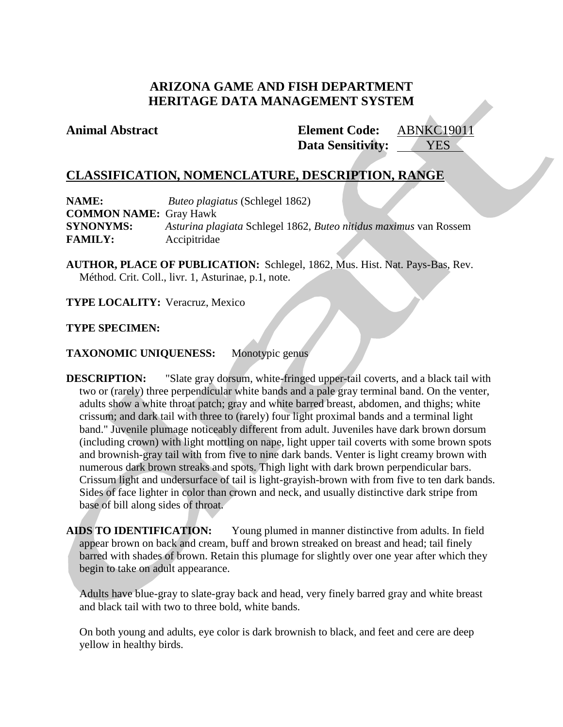# **ARIZONA GAME AND FISH DEPARTMENT HERITAGE DATA MANAGEMENT SYSTEM**

**Animal Abstract Element Code:** ABNKC19011 **Data Sensitivity:** YES

## **CLASSIFICATION, NOMENCLATURE, DESCRIPTION, RANGE**

**NAME:** *Buteo plagiatus* (Schlegel 1862) **COMMON NAME:** Gray Hawk **SYNONYMS:** *Asturina plagiata* Schlegel 1862, *Buteo nitidus maximus* van Rossem **FAMILY:** Accipitridae

**AUTHOR, PLACE OF PUBLICATION:** Schlegel, 1862, Mus. Hist. Nat. Pays-Bas, Rev. Méthod. Crit. Coll., livr. 1, Asturinae, p.1, note.

**TYPE LOCALITY:** Veracruz, Mexico

## **TYPE SPECIMEN:**

### **TAXONOMIC UNIQUENESS:** Monotypic genus

**DESCRIPTION:** "Slate gray dorsum, white-fringed upper-tail coverts, and a black tail with two or (rarely) three perpendicular white bands and a pale gray terminal band. On the venter, adults show a white throat patch; gray and white barred breast, abdomen, and thighs; white crissum; and dark tail with three to (rarely) four light proximal bands and a terminal light band." Juvenile plumage noticeably different from adult. Juveniles have dark brown dorsum (including crown) with light mottling on nape, light upper tail coverts with some brown spots and brownish-gray tail with from five to nine dark bands. Venter is light creamy brown with numerous dark brown streaks and spots. Thigh light with dark brown perpendicular bars. Crissum light and undersurface of tail is light-grayish-brown with from five to ten dark bands. Sides of face lighter in color than crown and neck, and usually distinctive dark stripe from base of bill along sides of throat.

**AIDS TO IDENTIFICATION:** Young plumed in manner distinctive from adults. In field appear brown on back and cream, buff and brown streaked on breast and head; tail finely barred with shades of brown. Retain this plumage for slightly over one year after which they begin to take on adult appearance.

Adults have blue-gray to slate-gray back and head, very finely barred gray and white breast and black tail with two to three bold, white bands.

On both young and adults, eye color is dark brownish to black, and feet and cere are deep yellow in healthy birds.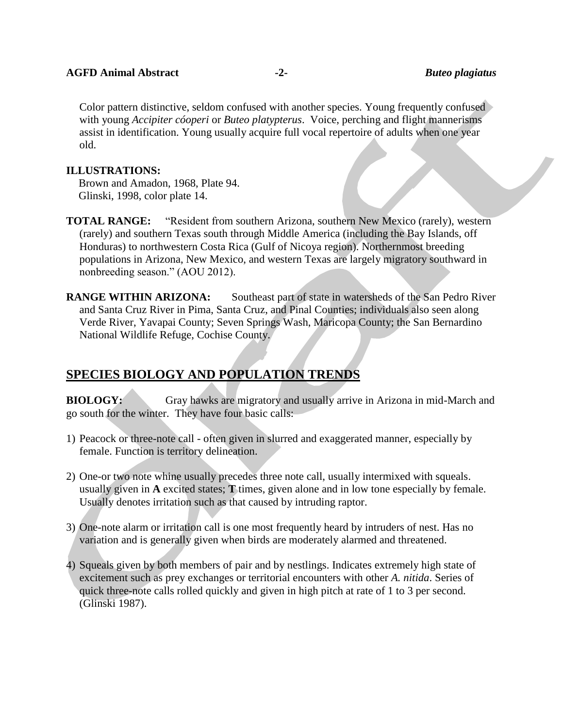Color pattern distinctive, seldom confused with another species. Young frequently confused with young *Accipiter cóoperi* or *Buteo platypterus*. Voice, perching and flight mannerisms assist in identification. Young usually acquire full vocal repertoire of adults when one year old.

### **ILLUSTRATIONS:**

Brown and Amadon, 1968, Plate 94. Glinski, 1998, color plate 14.

**TOTAL RANGE:** "Resident from southern Arizona, southern New Mexico (rarely), western (rarely) and southern Texas south through Middle America (including the Bay Islands, off Honduras) to northwestern Costa Rica (Gulf of Nicoya region). Northernmost breeding populations in Arizona, New Mexico, and western Texas are largely migratory southward in nonbreeding season." (AOU 2012).

**RANGE WITHIN ARIZONA:** Southeast part of state in watersheds of the San Pedro River and Santa Cruz River in Pima, Santa Cruz, and Pinal Counties; individuals also seen along Verde River, Yavapai County; Seven Springs Wash, Maricopa County; the San Bernardino National Wildlife Refuge, Cochise County.

# **SPECIES BIOLOGY AND POPULATION TRENDS**

**BIOLOGY:** Gray hawks are migratory and usually arrive in Arizona in mid-March and go south for the winter. They have four basic calls:

- 1) Peacock or three-note call often given in slurred and exaggerated manner, especially by female. Function is territory delineation.
- 2) One-or two note whine usually precedes three note call, usually intermixed with squeals. usually given in **A** excited states; **T** times, given alone and in low tone especially by female. Usually denotes irritation such as that caused by intruding raptor.
- 3) One-note alarm or irritation call is one most frequently heard by intruders of nest. Has no variation and is generally given when birds are moderately alarmed and threatened.
- 4) Squeals given by both members of pair and by nestlings. Indicates extremely high state of excitement such as prey exchanges or territorial encounters with other *A. nitida*. Series of quick three-note calls rolled quickly and given in high pitch at rate of 1 to 3 per second. (Glinski 1987).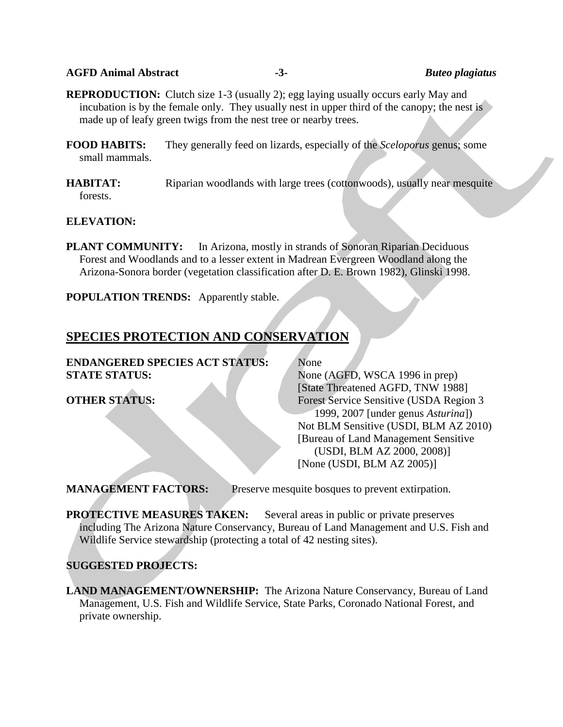### **AGFD Animal Abstract -3-** *Buteo plagiatus*

**REPRODUCTION:** Clutch size 1-3 (usually 2); egg laying usually occurs early May and incubation is by the female only. They usually nest in upper third of the canopy; the nest is made up of leafy green twigs from the nest tree or nearby trees.

- **FOOD HABITS:** They generally feed on lizards, especially of the *Sceloporus* genus; some small mammals.
- **HABITAT:** Riparian woodlands with large trees (cottonwoods), usually near mesquite forests.

### **ELEVATION:**

**PLANT COMMUNITY:** In Arizona, mostly in strands of Sonoran Riparian Deciduous Forest and Woodlands and to a lesser extent in Madrean Evergreen Woodland along the Arizona-Sonora border (vegetation classification after D. E. Brown 1982), Glinski 1998.

**POPULATION TRENDS:** Apparently stable.

# **SPECIES PROTECTION AND CONSERVATION**

**ENDANGERED SPECIES ACT STATUS:** None **STATE STATUS:** None (AGFD, WSCA 1996 in prep)

[State Threatened AGFD, TNW 1988] **OTHER STATUS:** Forest Service Sensitive (USDA Region 3 1999, 2007 [under genus *Asturina*]) Not BLM Sensitive (USDI, BLM AZ 2010) [Bureau of Land Management Sensitive (USDI, BLM AZ 2000, 2008)] [None (USDI, BLM AZ 2005)]

**MANAGEMENT FACTORS:** Preserve mesquite bosques to prevent extirpation.

**PROTECTIVE MEASURES TAKEN:** Several areas in public or private preserves including The Arizona Nature Conservancy, Bureau of Land Management and U.S. Fish and Wildlife Service stewardship (protecting a total of 42 nesting sites).

## **SUGGESTED PROJECTS:**

**LAND MANAGEMENT/OWNERSHIP:** The Arizona Nature Conservancy, Bureau of Land Management, U.S. Fish and Wildlife Service, State Parks, Coronado National Forest, and private ownership.